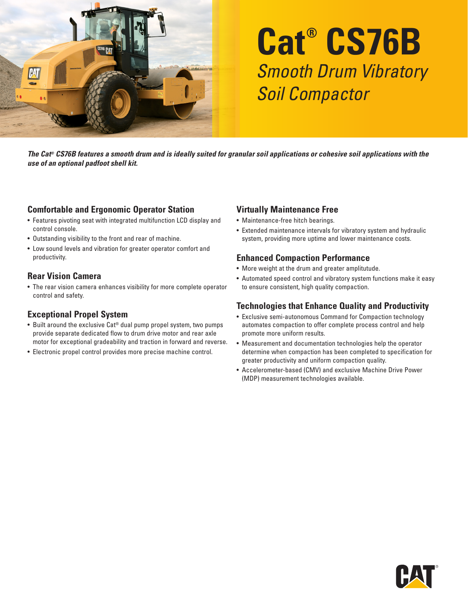

# **Cat® CS76B** Smooth Drum Vibratory Soil Compactor

*The Cat® CS76B features a smooth drum and is ideally suited for granular soil applications or cohesive soil applications with the use of an optional padfoot shell kit.* 

#### **Comfortable and Ergonomic Operator Station**

- Features pivoting seat with integrated multifunction LCD display and control console.
- Outstanding visibility to the front and rear of machine.
- Low sound levels and vibration for greater operator comfort and productivity.

#### **Rear Vision Camera**

• The rear vision camera enhances visibility for more complete operator control and safety.

#### **Exceptional Propel System**

- Built around the exclusive Cat® dual pump propel system, two pumps provide separate dedicated flow to drum drive motor and rear axle motor for exceptional gradeability and traction in forward and reverse.
- Electronic propel control provides more precise machine control.

## **Virtually Maintenance Free**

- Maintenance-free hitch bearings.
- Extended maintenance intervals for vibratory system and hydraulic system, providing more uptime and lower maintenance costs.

### **Enhanced Compaction Performance**

- More weight at the drum and greater amplitutude.
- Automated speed control and vibratory system functions make it easy to ensure consistent, high quality compaction.

#### **Technologies that Enhance Quality and Productivity**

- Exclusive semi-autonomous Command for Compaction technology automates compaction to offer complete process control and help promote more uniform results.
- Measurement and documentation technologies help the operator determine when compaction has been completed to specification for greater productivity and uniform compaction quality.
- Accelerometer-based (CMV) and exclusive Machine Drive Power (MDP) measurement technologies available.

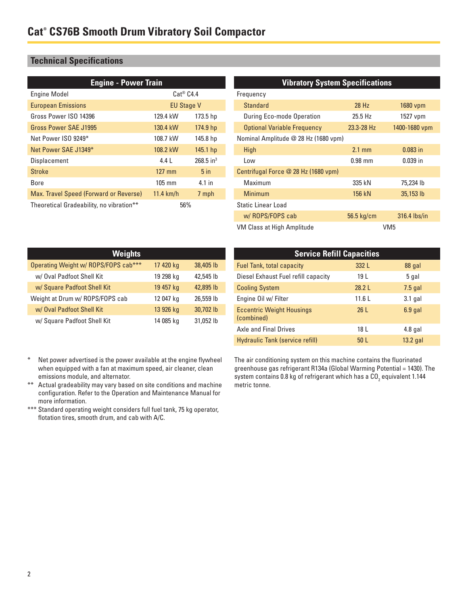### **Technical Specifications**

| <b>Engine - Power Train</b>              |                   |                         |
|------------------------------------------|-------------------|-------------------------|
| <b>Engine Model</b>                      | $Cat^@$ $C4.4$    |                         |
| <b>European Emissions</b>                | <b>EU Stage V</b> |                         |
| Gross Power ISO 14396                    | 129.4 kW          | 173.5 <sub>hp</sub>     |
| Gross Power SAF J1995                    | 130.4 kW          | 174.9 hp                |
| Net Power ISO 9249*                      | 108.7 kW          | 145.8 hp                |
| Net Power SAE J1349*                     | 108.2 kW          | $145.1$ hp              |
| Displacement                             | $4.4 \perp$       | $268.5$ in <sup>3</sup> |
| <b>Stroke</b>                            | $127$ mm          | 5 <sub>in</sub>         |
| Bore                                     | $105 \text{ mm}$  | $4.1$ in                |
| Max. Travel Speed (Forward or Reverse)   | $11.4$ km/h       | 7 mph                   |
| Theoretical Gradeability, no vibration** | 56%               |                         |

#### **Vibratory System Specifications**

| Frequency                            |                  |                 |
|--------------------------------------|------------------|-----------------|
| Standard                             | 28 Hz            | 1680 vpm        |
| During Eco-mode Operation            | $25.5$ Hz        | 1527 vpm        |
| <b>Optional Variable Frequency</b>   | 23.3-28 Hz       | 1400-1680 vpm   |
| Nominal Amplitude @ 28 Hz (1680 vpm) |                  |                 |
| High                                 | $2.1 \text{ mm}$ | $0.083$ in      |
| I ow                                 | $0.98$ mm        | $0.039$ in      |
| Centrifugal Force @ 28 Hz (1680 vpm) |                  |                 |
| Maximum                              | 335 kN           | 75,234 lb       |
| Minimum                              | 156 kN           | 35,153 lb       |
| <b>Static Linear Load</b>            |                  |                 |
| w/ROPS/FOPS cab                      | 56.5 kg/cm       | 316.4 lbs/in    |
| VM Class at High Amplitude           |                  | VM <sub>5</sub> |

| <b>Weights</b>                       |           |           |  |
|--------------------------------------|-----------|-----------|--|
| Operating Weight w/ ROPS/FOPS cab*** | 17 420 kg | 38,405 lb |  |
| w/ Oval Padfoot Shell Kit            | 19 298 kg | 42,545 lb |  |
| w/ Square Padfoot Shell Kit          | 19 457 kg | 42,895 lb |  |
| Weight at Drum w/ ROPS/FOPS cab      | 12 047 kg | 26,559 lb |  |
| w/ Oval Padfoot Shell Kit            | 13 926 kg | 30,702 lb |  |
| w/ Square Padfoot Shell Kit          | 14 085 kg | 31,052 lb |  |

| <b>Service Refill Capacities</b>               |                 |            |  |
|------------------------------------------------|-----------------|------------|--|
| <b>Fuel Tank, total capacity</b>               | 332 L           | 88 gal     |  |
| Diesel Exhaust Fuel refill capacity            | 19 L            | 5 gal      |  |
| <b>Cooling System</b>                          | 28.2L           | $7.5$ gal  |  |
| Engine Oil w/ Filter                           | 11.6L           | $3.1$ gal  |  |
| <b>Eccentric Weight Housings</b><br>(combined) | 26L             | $6.9$ gal  |  |
| <b>Axle and Final Drives</b>                   | 18 L            | $4.8$ gal  |  |
| Hydraulic Tank (service refill)                | 50 <sub>L</sub> | $13.2$ gal |  |

- \* Net power advertised is the power available at the engine flywheel when equipped with a fan at maximum speed, air cleaner, clean emissions module, and alternator.
- \*\* Actual gradeability may vary based on site conditions and machine configuration. Refer to the Operation and Maintenance Manual for more information.
- \*\*\* Standard operating weight considers full fuel tank, 75 kg operator, flotation tires, smooth drum, and cab with A/C.

The air conditioning system on this machine contains the fluorinated greenhouse gas refrigerant R134a (Global Warming Potential = 1430). The system contains 0.8 kg of refrigerant which has a CO $_{\rm 2}$  equivalent 1.144 metric tonne.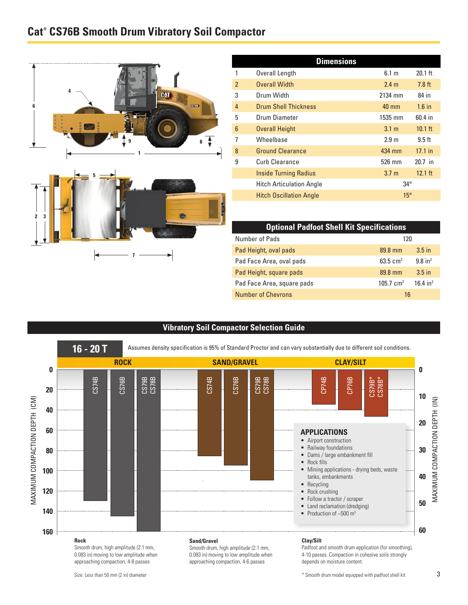## **Cat® CS76B Smooth Drum Vibratory Soil Compactor**





| <b>Dimensions</b> |                                 |                  |                   |
|-------------------|---------------------------------|------------------|-------------------|
|                   | Overall Length                  | 6.1 m            | $20.1$ ft         |
| $\overline{2}$    | <b>Overall Width</b>            | 2.4 <sub>m</sub> | $7.8$ ft          |
| 3                 | Drum Width                      | 2134 mm          | 84 in             |
| $\overline{4}$    | <b>Drum Shell Thickness</b>     | 40 mm            | $1.6$ in          |
| 5                 | Drum Diameter                   | 1535 mm          | 60.4 in           |
| $6\phantom{1}6$   | <b>Overall Height</b>           | 3.1 <sub>m</sub> | $10.1$ ft         |
| 7                 | Wheelbase                       | 2.9 <sub>m</sub> | $9.5$ ft          |
| 8                 | <b>Ground Clearance</b>         | 434 mm           | $17.1$ in         |
| 9                 | Curb Clearance                  | 526 mm           | $20.7$ in         |
|                   | <b>Inside Turning Radius</b>    | 3.7 <sub>m</sub> | $12.1 \text{ ft}$ |
|                   | <b>Hitch Articulation Angle</b> | $34^{\circ}$     |                   |
|                   | <b>Hitch Oscillation Angle</b>  | $15^{\circ}$     |                   |

| <b>Optional Padfoot Shell Kit Specifications</b> |                      |                        |
|--------------------------------------------------|----------------------|------------------------|
| Number of Pads                                   | 120                  |                        |
| Pad Height, oval pads                            | 89.8 mm              | $3.5$ in               |
| Pad Face Area, oval pads                         | 63.5 $cm2$           | $9.8$ in <sup>2</sup>  |
| Pad Height, square pads                          | 89.8 mm              | $3.5$ in               |
| Pad Face Area, square pads                       | $105.7 \text{ cm}^2$ | $16.4$ in <sup>2</sup> |
| <b>Number of Chevrons</b>                        | 16                   |                        |

#### **Vibratory Soil Compactor Selection Guide**



approaching compaction, 4-6 passes

approaching compaction, 4-8 passes

#### Size: Less than 50 mm (2 in) diameter

depends on moisture content.